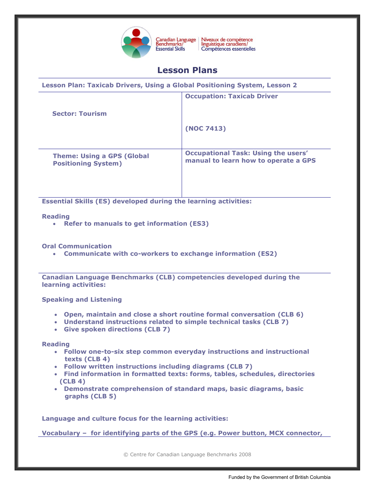

Niveaux de compétence<br>linguistique canadiens/ Compétences essentielles

# **Lesson Plans**

| Lesson Plan: Taxicab Drivers, Using a Global Positioning System, Lesson 2 |                                                                                    |
|---------------------------------------------------------------------------|------------------------------------------------------------------------------------|
|                                                                           | <b>Occupation: Taxicab Driver</b>                                                  |
| <b>Sector: Tourism</b>                                                    |                                                                                    |
|                                                                           | (NOC 7413)                                                                         |
| <b>Theme: Using a GPS (Global</b><br><b>Positioning System)</b>           | <b>Occupational Task: Using the users'</b><br>manual to learn how to operate a GPS |

**Essential Skills (ES) developed during the learning activities:** 

## **Reading**

**Refer to manuals to get information (ES3)**

**Oral Communication**

**Communicate with co-workers to exchange information (ES2)**

**Canadian Language Benchmarks (CLB) competencies developed during the learning activities:**

**Speaking and Listening**

- **Open, maintain and close a short routine formal conversation (CLB 6)**
- **Understand instructions related to simple technical tasks (CLB 7)**
- **Give spoken directions (CLB 7)**

**Reading**

- **Follow one-to-six step common everyday instructions and instructional texts (CLB 4)**
- **Follow written instructions including diagrams (CLB 7)**
- **Find information in formatted texts: forms, tables, schedules, directories (CLB 4)**
- **Demonstrate comprehension of standard maps, basic diagrams, basic graphs (CLB 5)**

**Language and culture focus for the learning activities:** 

**Vocabulary – for identifying parts of the GPS (e.g. Power button, MCX connector,**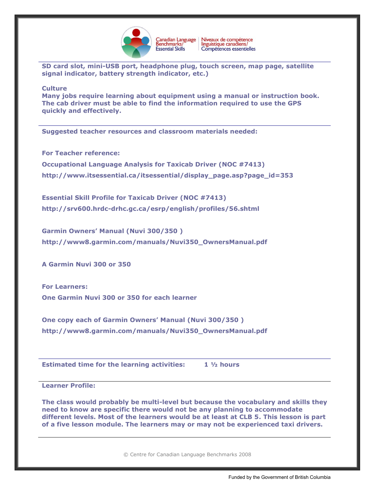

**SD card slot, mini-USB port, headphone plug, touch screen, map page, satellite signal indicator, battery strength indicator, etc.)**

#### **Culture**

**Many jobs require learning about equipment using a manual or instruction book. The cab driver must be able to find the information required to use the GPS quickly and effectively.** 

**Suggested teacher resources and classroom materials needed:** 

**For Teacher reference:**

**Occupational Language Analysis for Taxicab Driver (NOC #7413) [http://www.itsessential.ca/itsessential/display\\_page.asp?page\\_id=353](http://www.itsessential.ca/itsessential/display_page.asp?page_id=353)**

**Essential Skill Profile for Taxicab Driver (NOC #7413) <http://srv600.hrdc-drhc.gc.ca/esrp/english/profiles/56.shtml>**

**Garmin Owners' Manual (Nuvi 300/350 ) [http://www8.garmin.com/manuals/Nuvi350\\_OwnersManual.pdf](http://www8.garmin.com/manuals/Nuvi350_OwnersManual.pdf)**

**A Garmin Nuvi 300 or 350**

**For Learners: One Garmin Nuvi 300 or 350 for each learner**

**One copy each of Garmin Owners' Manual (Nuvi 300/350 ) [http://www8.garmin.com/manuals/Nuvi350\\_OwnersManual.pdf](http://www8.garmin.com/manuals/Nuvi350_OwnersManual.pdf)**

**Estimated time for the learning activities: 1 ½ hours**

**Learner Profile:**

**The class would probably be multi-level but because the vocabulary and skills they need to know are specific there would not be any planning to accommodate different levels. Most of the learners would be at least at CLB 5. This lesson is part of a five lesson module. The learners may or may not be experienced taxi drivers.**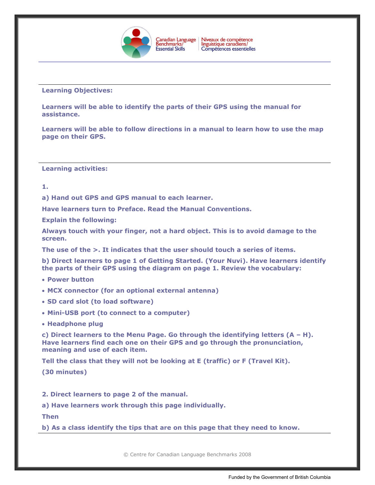

## **Learning Objectives:**

**Learners will be able to identify the parts of their GPS using the manual for assistance.**

**Learners will be able to follow directions in a manual to learn how to use the map page on their GPS.**

**Learning activities:**

**1.** 

**a) Hand out GPS and GPS manual to each learner.** 

**Have learners turn to Preface. Read the Manual Conventions.** 

**Explain the following:**

**Always touch with your finger, not a hard object. This is to avoid damage to the screen.**

**The use of the >. It indicates that the user should touch a series of items.**

**b) Direct learners to page 1 of Getting Started. (Your Nuvi). Have learners identify the parts of their GPS using the diagram on page 1. Review the vocabulary:**

- **Power button**
- **MCX connector (for an optional external antenna)**
- **SD card slot (to load software)**
- **Mini-USB port (to connect to a computer)**
- **Headphone plug**

**c) Direct learners to the Menu Page. Go through the identifying letters (A – H). Have learners find each one on their GPS and go through the pronunciation, meaning and use of each item.**

**Tell the class that they will not be looking at E (traffic) or F (Travel Kit).**

**(30 minutes)**

**2. Direct learners to page 2 of the manual.** 

**a) Have learners work through this page individually.** 

**Then**

**b) As a class identify the tips that are on this page that they need to know.**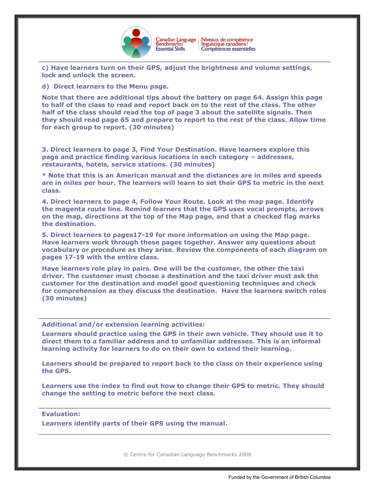

**c) Have learners turn on their GPS, adjust the brightness and volume settings, lock and unlock the screen.**

**d) Direct learners to the Menu page.** 

**Note that there are additional tips about the battery on page 64. Assign this page to half of the class to read and report back on to the rest of the class. The other half of the class should read the top of page 3 about the satellite signals. Then they should read page 65 and prepare to report to the rest of the class. Allow time for each group to report. (30 minutes)**

**3. Direct learners to page 3, Find Your Destination. Have learners explore this page and practice finding various locations in each category – addresses, restaurants, hotels, service stations. (30 minutes)** 

**\* Note that this is an American manual and the distances are in miles and speeds are in miles per hour. The learners will learn to set their GPS to metric in the next class.**

**4. Direct learners to page 4, Follow Your Route. Look at the map page. Identify the magenta route line. Remind learners that the GPS uses vocal prompts, arrows on the map, directions at the top of the Map page, and that a checked flag marks the destination.** 

**5. Direct learners to pages17-19 for more information on using the Map page. Have learners work through these pages together. Answer any questions about vocabulary or procedure as they arise. Review the components of each diagram on pages 17-19 with the entire class.**

**Have learners role play in pairs. One will be the customer, the other the taxi driver. The customer must choose a destination and the taxi driver must ask the customer for the destination and model good questioning techniques and check for comprehension as they discuss the destination. Have the learners switch roles (30 minutes)**

**Additional and/or extension learning activities:**

**Learners should practice using the GPS in their own vehicle. They should use it to direct them to a familiar address and to unfamiliar addresses. This is an informal learning activity for learners to do on their own to extend their learning.**

**Learners should be prepared to report back to the class on their experience using the GPS.**

**Learners use the index to find out how to change their GPS to metric. They should change the setting to metric before the next class.** 

## **Evaluation:**

**Learners identify parts of their GPS using the manual.**